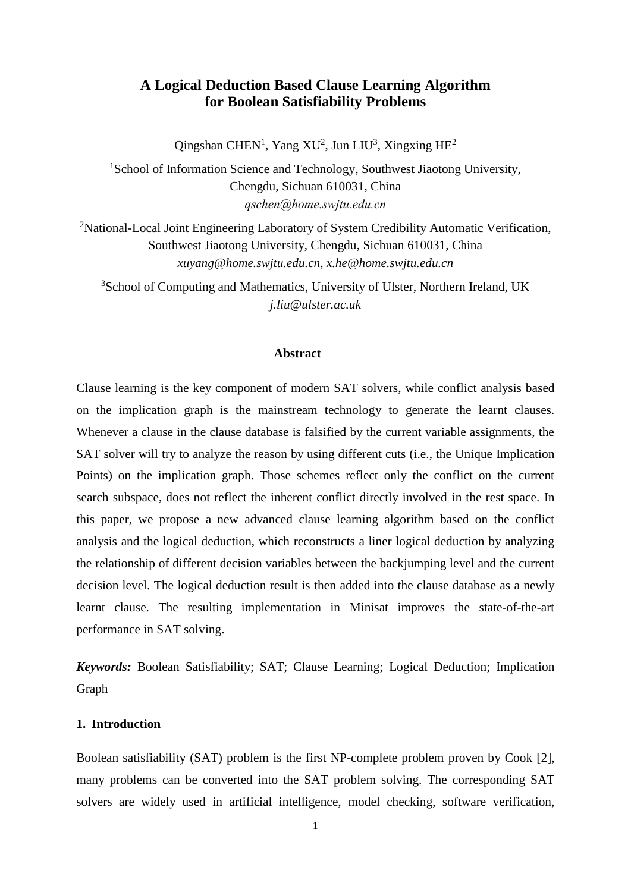# **A Logical Deduction Based Clause Learning Algorithm for Boolean Satisfiability Problems**

Qingshan CHEN<sup>1</sup>, Yang XU<sup>2</sup>, Jun LIU<sup>3</sup>, Xingxing HE<sup>2</sup>

<sup>1</sup>School of Information Science and Technology, Southwest Jiaotong University, Chengdu, Sichuan 610031, China *qschen@home.swjtu.edu.cn*

<sup>2</sup>National-Local Joint Engineering Laboratory of System Credibility Automatic Verification, Southwest Jiaotong University, Chengdu, Sichuan 610031, China *xuyang@home.swjtu.edu.cn, x.he@home.swjtu.edu.cn*

<sup>3</sup>School of Computing and Mathematics, University of Ulster, Northern Ireland, UK *[j.liu@ulster.ac.uk](mailto:j.liu@ulster.ac.uk)*

### **Abstract**

Clause learning is the key component of modern SAT solvers, while conflict analysis based on the implication graph is the mainstream technology to generate the learnt clauses. Whenever a clause in the clause database is falsified by the current variable assignments, the SAT solver will try to analyze the reason by using different cuts (i.e., the Unique Implication Points) on the implication graph. Those schemes reflect only the conflict on the current search subspace, does not reflect the inherent conflict directly involved in the rest space. In this paper, we propose a new advanced clause learning algorithm based on the conflict analysis and the logical deduction, which reconstructs a liner logical deduction by analyzing the relationship of different decision variables between the backjumping level and the current decision level. The logical deduction result is then added into the clause database as a newly learnt clause. The resulting implementation in Minisat improves the state-of-the-art performance in SAT solving.

*Keywords:* Boolean Satisfiability; SAT; Clause Learning; Logical Deduction; Implication Graph

### **1. Introduction**

Boolean satisfiability (SAT) problem is the first NP-complete problem proven by Cook [\[2\]](#page-15-0), many problems can be converted into the SAT problem solving. The corresponding SAT solvers are widely used in artificial intelligence, model checking, software verification,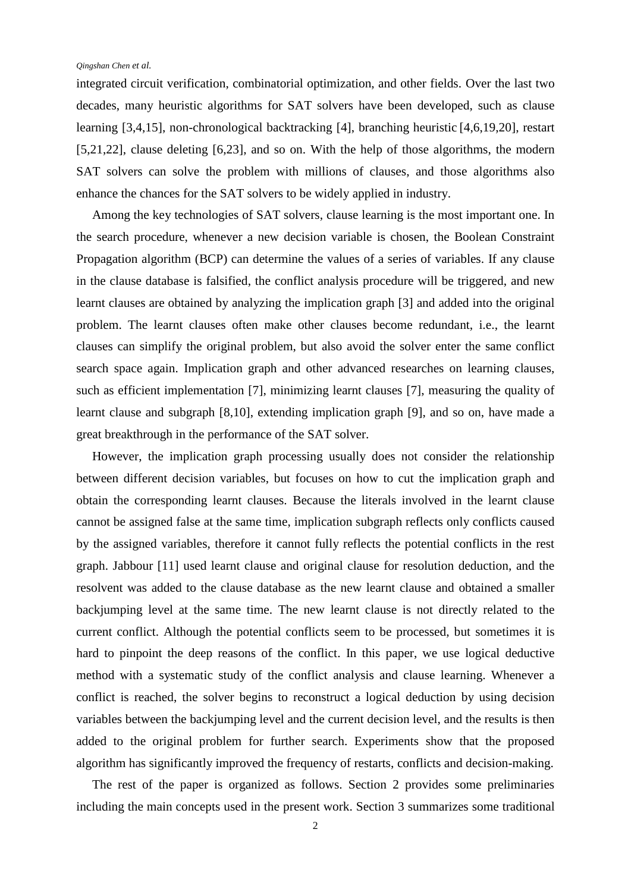integrated circuit verification, combinatorial optimization, and other fields. Over the last two decades, many heuristic algorithms for SAT solvers have been developed, such as clause learning [\[3](#page-15-1)[,4](#page-15-2)[,15\]](#page-16-0), non-chronological backtracking [\[4\]](#page-15-2), branching heuristic [\[4](#page-15-2)[,6](#page-15-3)[,19](#page-16-1)[,20\]](#page-16-2), restart [\[5](#page-15-4)[,21,](#page-16-3)22], clause deleting [\[6](#page-15-3)[,23\]](#page-16-4), and so on. With the help of those algorithms, the modern SAT solvers can solve the problem with millions of clauses, and those algorithms also enhance the chances for the SAT solvers to be widely applied in industry.

Among the key technologies of SAT solvers, clause learning is the most important one. In the search procedure, whenever a new decision variable is chosen, the Boolean Constraint Propagation algorithm (BCP) can determine the values of a series of variables. If any clause in the clause database is falsified, the conflict analysis procedure will be triggered, and new learnt clauses are obtained by analyzing the implication graph [\[3\]](#page-15-1) and added into the original problem. The learnt clauses often make other clauses become redundant, i.e., the learnt clauses can simplify the original problem, but also avoid the solver enter the same conflict search space again. Implication graph and other advanced researches on learning clauses, such as efficient implementation [\[7\]](#page-15-5), minimizing learnt clauses [\[7\]](#page-15-5), measuring the quality of learnt clause and subgraph [\[8](#page-15-6)[,10\]](#page-15-7), extending implication graph [\[9\]](#page-15-8), and so on, have made a great breakthrough in the performance of the SAT solver.

However, the implication graph processing usually does not consider the relationship between different decision variables, but focuses on how to cut the implication graph and obtain the corresponding learnt clauses. Because the literals involved in the learnt clause cannot be assigned false at the same time, implication subgraph reflects only conflicts caused by the assigned variables, therefore it cannot fully reflects the potential conflicts in the rest graph. Jabbour [\[11\]](#page-15-9) used learnt clause and original clause for resolution deduction, and the resolvent was added to the clause database as the new learnt clause and obtained a smaller backjumping level at the same time. The new learnt clause is not directly related to the current conflict. Although the potential conflicts seem to be processed, but sometimes it is hard to pinpoint the deep reasons of the conflict. In this paper, we use logical deductive method with a systematic study of the conflict analysis and clause learning. Whenever a conflict is reached, the solver begins to reconstruct a logical deduction by using decision variables between the backjumping level and the current decision level, and the results is then added to the original problem for further search. Experiments show that the proposed algorithm has significantly improved the frequency of restarts, conflicts and decision-making.

The rest of the paper is organized as follows. Section 2 provides some preliminaries including the main concepts used in the present work. Section 3 summarizes some traditional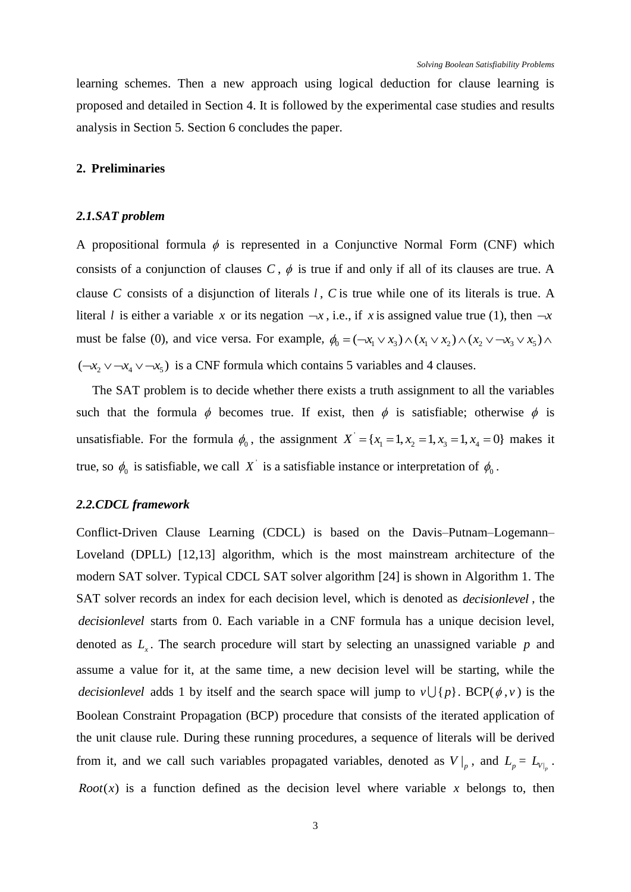learning schemes. Then a new approach using logical deduction for clause learning is proposed and detailed in Section 4. It is followed by the experimental case studies and results analysis in Section 5. Section 6 concludes the paper.

### **2. Preliminaries**

### *2.1.SAT problem*

A propositional formula  $\phi$  is represented in a Conjunctive Normal Form (CNF) which consists of a conjunction of clauses  $C$ ,  $\phi$  is true if and only if all of its clauses are true. A clause C consists of a disjunction of literals *l*, C is true while one of its literals is true. A literal *l* is either a variable x or its negation  $-x$ , i.e., if x is assigned value true (1), then  $-x$ literal *l* is either a variable *x* or its negation  $-x$ , i.e., if *x* is assigned value true (1), then  $-x$  must be false (0), and vice versa. For example,  $\phi_0 = (-x_1 \vee x_3) \wedge (x_1 \vee x_2) \wedge (x_2 \vee -x_3 \vee x_5) \wedge$  $(-x_2 \vee -x_4 \vee -x_5)$  is a CNF formula which contains 5 variables and 4 clauses.

The SAT problem is to decide whether there exists a truth assignment to all the variables such that the formula  $\phi$  becomes true. If exist, then  $\phi$  is satisfiable; otherwise  $\phi$  is unsatisfiable. For the formula  $\phi_0$ , the assignment X  $X = \{x_1 = 1, x_2 = 1, x_3 = 1, x_4 = 0\}$  makes it true, so  $\phi_0$  is satisfiable, we call X is a satisfiable instance or interpretation of  $\phi_0$ .

#### *2.2.CDCL framework*

Conflict-Driven Clause Learning (CDCL) is based on the Davis–Putnam–Logemann– Loveland (DPLL) [\[12](#page-15-10)[,13\]](#page-15-11) algorithm, which is the most mainstream architecture of the modern SAT solver. Typical CDCL SAT solver algorithm [\[24\]](#page-16-5) is shown in Algorithm 1. The SAT solver records an index for each decision level, which is denoted as *decisionlevel* , the *decisionlevel* starts from 0. Each variable in a CNF formula has a unique decision level, denoted as  $L<sub>x</sub>$ . The search procedure will start by selecting an unassigned variable  $p$  and assume a value for it, at the same time, a new decision level will be starting, while the *decisionlevel* adds 1 by itself and the search space will jump to  $v \cup \{p\}$ . BCP( $\phi$ ,  $v$ ) is the Boolean Constraint Propagation (BCP) procedure that consists of the iterated application of the unit clause rule. During these running procedures, a sequence of literals will be derived from it, and we call such variables propagated variables, denoted as  $V|_p$ , and  $L_p = L_{V|_p}$ . *Root*( $x$ ) is a function defined as the decision level where variable  $x$  belongs to, then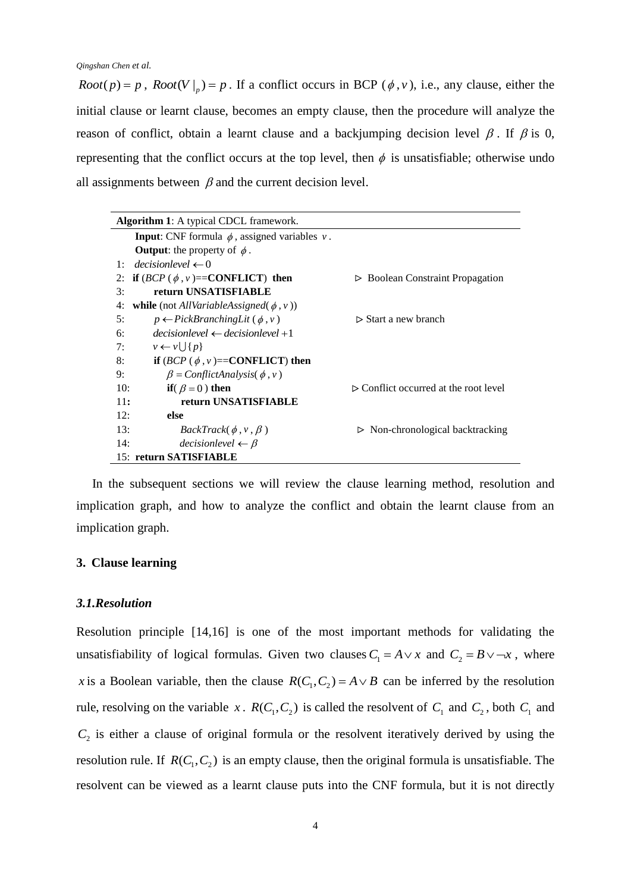*Root*(*p*) = *p*, *Root*(*V* |<sub>*p*</sub>) = *p*. If a conflict occurs in BCP ( $\phi$ , *v*), i.e., any clause, either the initial clause or learnt clause, becomes an empty clause, then the procedure will analyze the reason of conflict, obtain a learnt clause and a backjumping decision level  $\beta$ . If  $\beta$  is 0, representing that the conflict occurs at the top level, then  $\phi$  is unsatisfiable; otherwise undo all assignments between  $\beta$  and the current decision level.

| <b>Algorithm 1:</b> A typical CDCL framework.                             |                                                      |  |  |  |  |
|---------------------------------------------------------------------------|------------------------------------------------------|--|--|--|--|
| <b>Input:</b> CNF formula $\phi$ , assigned variables v.                  |                                                      |  |  |  |  |
| <b>Output:</b> the property of $\phi$ .                                   |                                                      |  |  |  |  |
| $decisionlevel \leftarrow 0$<br>$1 \cdot$                                 |                                                      |  |  |  |  |
| if $(BCP (\phi, v) == \text{CONFLICT})$ then<br>2:                        | <b>Boolean Constraint Propagation</b><br>⊳           |  |  |  |  |
| return UNSATISFIABLE<br>3:                                                |                                                      |  |  |  |  |
| <b>while</b> (not <i>AllVariableAssigned</i> ( $\phi$ , <i>v</i> ))<br>4: |                                                      |  |  |  |  |
| 5:<br>$p \leftarrow PickBranchingLit (\phi, v)$                           | $\triangleright$ Start a new branch                  |  |  |  |  |
| $decisionlevel \leftarrow decisionlevel + 1$<br>6:                        |                                                      |  |  |  |  |
| $v \leftarrow v \cup \{p\}$<br>7:                                         |                                                      |  |  |  |  |
| 8:<br>if $(BCP (\phi, v) = \text{CONFLICT})$ then                         |                                                      |  |  |  |  |
| 9:<br>$\beta$ = ConflictAnalysis( $\phi$ , v)                             |                                                      |  |  |  |  |
| 10:<br>if( $\beta = 0$ ) then                                             | $\triangleright$ Conflict occurred at the root level |  |  |  |  |
| 11:<br>return UNSATISFIABLE                                               |                                                      |  |  |  |  |
| 12:<br>else                                                               |                                                      |  |  |  |  |
| 13:<br>$BackTrack(\phi, v, \beta)$                                        | $\triangleright$ Non-chronological backtracking      |  |  |  |  |
| 14:<br>$decisionlevel \leftarrow \beta$                                   |                                                      |  |  |  |  |
| 15: return SATISFIABLE                                                    |                                                      |  |  |  |  |

In the subsequent sections we will review the clause learning method, resolution and implication graph, and how to analyze the conflict and obtain the learnt clause from an implication graph.

## **3. Clause learning**

#### *3.1.Resolution*

Resolution principle [\[14](#page-15-12)[,16\]](#page-16-6) is one of the most important methods for validating the unsatisfiability of logical formulas. Given two clauses  $C_1 = A \vee x$  and  $C_2 = B \vee \neg x$ , where x is a Boolean variable, then the clause  $R(C_1, C_2) = A \vee B$  can be inferred by the resolution rule, resolving on the variable x.  $R(C_1, C_2)$  is called the resolvent of  $C_1$  and  $C_2$ , both  $C_1$  and  $C_2$  is either a clause of original formula or the resolvent iteratively derived by using the resolution rule. If  $R(C_1, C_2)$  is an empty clause, then the original formula is unsatisfiable. The resolvent can be viewed as a learnt clause puts into the CNF formula, but it is not directly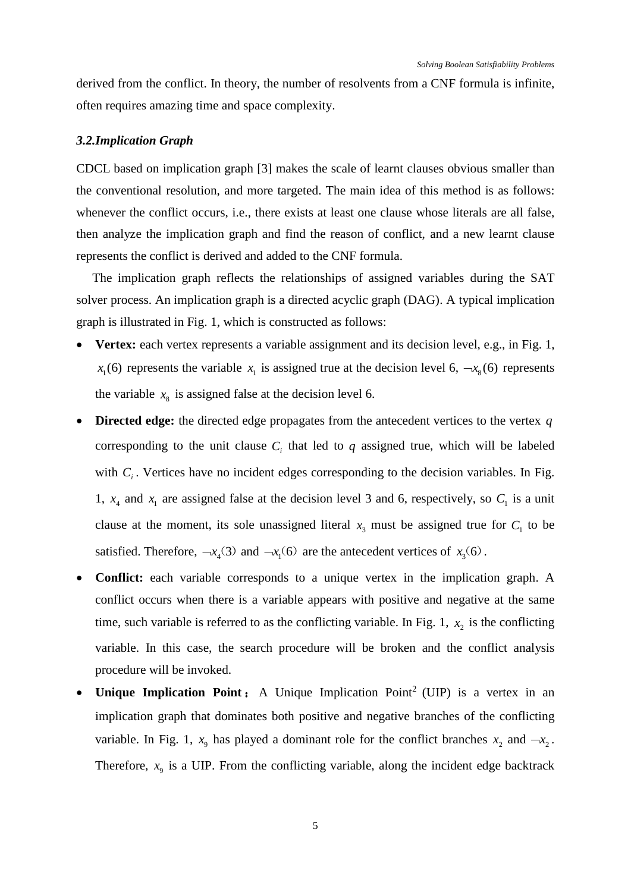derived from the conflict. In theory, the number of resolvents from a CNF formula is infinite, often requires amazing time and space complexity.

#### *3.2.Implication Graph*

CDCL based on implication graph [\[3\]](#page-15-1) makes the scale of learnt clauses obvious smaller than the conventional resolution, and more targeted. The main idea of this method is as follows: whenever the conflict occurs, i.e., there exists at least one clause whose literals are all false, then analyze the implication graph and find the reason of conflict, and a new learnt clause represents the conflict is derived and added to the CNF formula.

The implication graph reflects the relationships of assigned variables during the SAT solver process. An implication graph is a directed acyclic graph (DAG). A typical implication graph is illustrated in Fig. 1, which is constructed as follows:

- **Vertex:** each vertex represents a variable assignment and its decision level, e.g., in Fig. 1,  $x_1(6)$  represents the variable  $x_1$  is assigned true at the decision level 6,  $-x_8(6)$  represents the variable  $x<sub>8</sub>$  is assigned false at the decision level 6.
- Directed edge: the directed edge propagates from the antecedent vertices to the vertex q corresponding to the unit clause  $C_i$  that led to  $q$  assigned true, which will be labeled with  $C_i$ . Vertices have no incident edges corresponding to the decision variables. In Fig. 1,  $x_4$  and  $x_1$  are assigned false at the decision level 3 and 6, respectively, so  $C_1$  is a unit clause at the moment, its sole unassigned literal  $x_3$  must be assigned true for  $C_1$  to be satisfied. Therefore,  $-x_4(3)$  and  $-x_1(6)$  are the antecedent vertices of  $x_3(6)$ .
- **Conflict:** each variable corresponds to a unique vertex in the implication graph. A conflict occurs when there is a variable appears with positive and negative at the same time, such variable is referred to as the conflicting variable. In Fig. 1,  $x<sub>2</sub>$  is the conflicting variable. In this case, the search procedure will be broken and the conflict analysis procedure will be invoked.
- Unique Implication Point: A Unique Implication Point<sup>2</sup> (UIP) is a vertex in an implication graph that dominates both positive and negative branches of the conflicting variable. In Fig. 1,  $x_9$  has played a dominant role for the conflict branches  $x_2$  and  $-x_2$ . Therefore,  $x_9$  is a UIP. From the conflicting variable, along the incident edge backtrack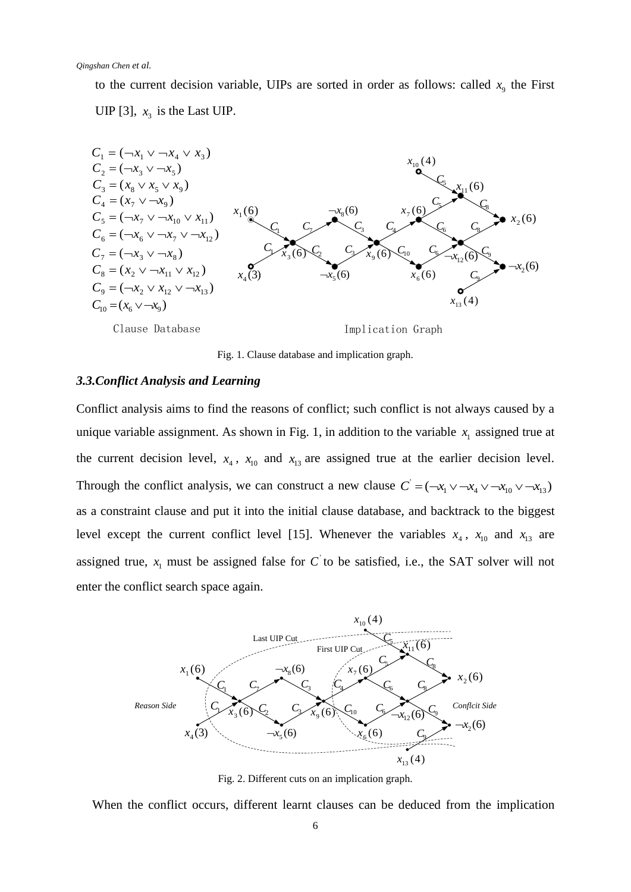to the current decision variable, UIPs are sorted in order as follows: called  $x<sub>9</sub>$  the First UIP [\[3\]](#page-15-1),  $x_3$  is the Last UIP.



Fig. 1. Clause database and implication graph.

### *3.3.Conflict Analysis and Learning*

Conflict analysis aims to find the reasons of conflict; such conflict is not always caused by a unique variable assignment. As shown in Fig. 1, in addition to the variable  $x<sub>1</sub>$  assigned true at the current decision level,  $x_4$ ,  $x_{10}$  and  $x_{13}$  are assigned true at the earlier decision level. Through the conflict analysis, we can construct a new clause  $C$  $C = (-x_1 \vee -x_4 \vee -x_{10} \vee -x_{13})$ as a constraint clause and put it into the initial clause database, and backtrack to the biggest level except the current conflict level [\[15\]](#page-16-0). Whenever the variables  $x_4$ ,  $x_{10}$  and  $x_{13}$  are assigned true,  $x_1$  must be assigned false for C to be satisfied, i.e., the SAT solver will not enter the conflict search space again.



Fig. 2. Different cuts on an implication graph.

When the conflict occurs, different learnt clauses can be deduced from the implication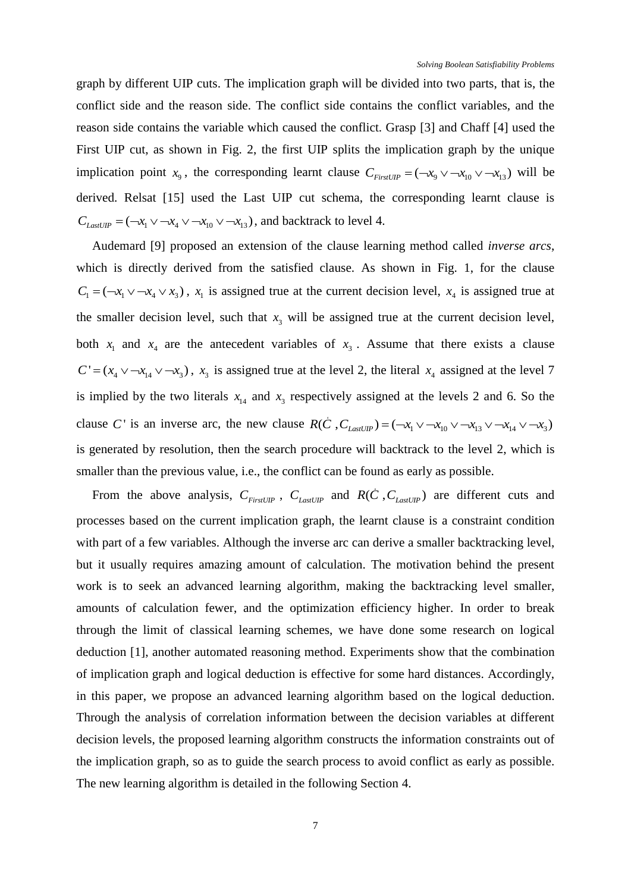graph by different UIP cuts. The implication graph will be divided into two parts, that is, the conflict side and the reason side. The conflict side contains the conflict variables, and the reason side contains the variable which caused the conflict. Grasp [\[3\]](#page-15-1) and Chaff [\[4\]](#page-15-2) used the First UIP cut, as shown in Fig. 2, the first UIP splits the implication graph by the unique implication point  $x_9$ , the corresponding learnt clause  $C_{FirstUP} = (-x_9 \vee -x_{10} \vee -x_{13})$  will be derived. Relsat [\[15\]](#page-16-0) used the Last UIP cut schema, the corresponding learnt clause is  $C_{LastUP} = (\neg x_1 \lor \neg x_4 \lor \neg x_{10} \lor \neg x_{13})$ , and backtrack to level 4.

Audemard [\[9\]](#page-15-8) proposed an extension of the clause learning method called *inverse arcs*, which is directly derived from the satisfied clause. As shown in Fig. 1, for the clause  $C_1 = (-x_1 \vee -x_4 \vee x_3)$ ,  $x_1$  is assigned true at the current decision level,  $x_4$  is assigned true at the smaller decision level, such that  $x_3$  will be assigned true at the current decision level, both  $x_1$  and  $x_4$  are the antecedent variables of  $x_3$ . Assume that there exists a clause  $C' = (x_4 \vee \neg x_{14} \vee \neg x_3)$ ,  $x_3$  is assigned true at the level 2, the literal  $x_4$  assigned at the level 7 is implied by the two literals  $x_{14}$  and  $x_3$  respectively assigned at the levels 2 and 6. So the is implied by the two literals  $x_{14}$  and  $x_3$  respectively assigned at the levels 2 and 6. So the clause C' is an inverse arc, the new clause  $R(\dot{C}, C_{LastUIP}) = (-x_1 \vee -x_{10} \vee -x_{13} \vee -x_{14} \vee -x_{3})$ ' is generated by resolution, then the search procedure will backtrack to the level 2, which is smaller than the previous value, i.e., the conflict can be found as early as possible.

From the above analysis,  $C_{FirstUP}$ ,  $C_{LastUP}$  and  $R(\dot{C}, C_{LastUP})$  are different cuts and processes based on the current implication graph, the learnt clause is a constraint condition with part of a few variables. Although the inverse arc can derive a smaller backtracking level, but it usually requires amazing amount of calculation. The motivation behind the present work is to seek an advanced learning algorithm, making the backtracking level smaller, amounts of calculation fewer, and the optimization efficiency higher. In order to break through the limit of classical learning schemes, we have done some research on logical deduction [\[1\]](#page-15-13), another automated reasoning method. Experiments show that the combination of implication graph and logical deduction is effective for some hard distances. Accordingly, in this paper, we propose an advanced learning algorithm based on the logical deduction. Through the analysis of correlation information between the decision variables at different decision levels, the proposed learning algorithm constructs the information constraints out of the implication graph, so as to guide the search process to avoid conflict as early as possible. The new learning algorithm is detailed in the following Section 4.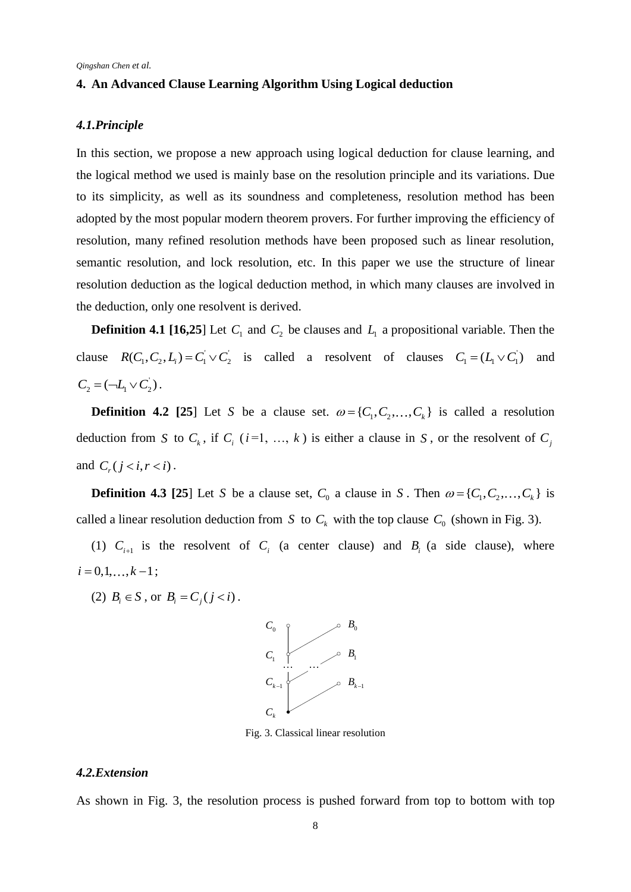### **4. An Advanced Clause Learning Algorithm Using Logical deduction**

### *4.1.Principle*

In this section, we propose a new approach using logical deduction for clause learning, and the logical method we used is mainly base on the resolution principle and its variations. Due to its simplicity, as well as its soundness and completeness, resolution method has been adopted by the most popular modern theorem provers. For further improving the efficiency of resolution, many refined resolution methods have been proposed such as linear resolution, semantic resolution, and lock resolution, etc. In this paper we use the structure of linear resolution deduction as the logical deduction method, in which many clauses are involved in the deduction, only one resolvent is derived.

**Definition 4.1** [\[16](#page-16-6)[,25](#page-16-7)] Let  $C_1$  and  $C_2$  be clauses and  $L_1$  a propositional variable. Then the clause  $R(C_1, C_2, L_i) = C_1 \vee C_2$  is called a resolvent of clauses  $C_1 = (L_1 \vee C_1)$  and  $C_2 = (\neg L_1 \vee C_2).$ 

**Definition 4.2** [\[25](#page-16-7)] Let S be a clause set.  $\omega = \{C_1, C_2, ..., C_k\}$  is called a resolution deduction from S to  $C_k$ , if  $C_i$  ( $i=1, ..., k$ ) is either a clause in S, or the resolvent of  $C_j$ and  $C_r$  ( $j < i, r < i$ ).

**Definition 4.3** [\[25](#page-16-7)] Let S be a clause set,  $C_0$  a clause in S. Then  $\omega = \{C_1, C_2, ..., C_k\}$  is called a linear resolution deduction from S to  $C_k$  with the top clause  $C_0$  (shown in Fig. 3).

(1)  $C_{i+1}$  is the resolvent of  $C_i$  (a center clause) and  $B_i$  (a side clause), where  $i = 0, 1, \ldots, k - 1;$ 

(2)  $B_i \in S$ , or  $B_i = C_j (j < i)$ .



Fig. 3. Classical linear resolution

#### *4.2.Extension*

As shown in Fig. 3, the resolution process is pushed forward from top to bottom with top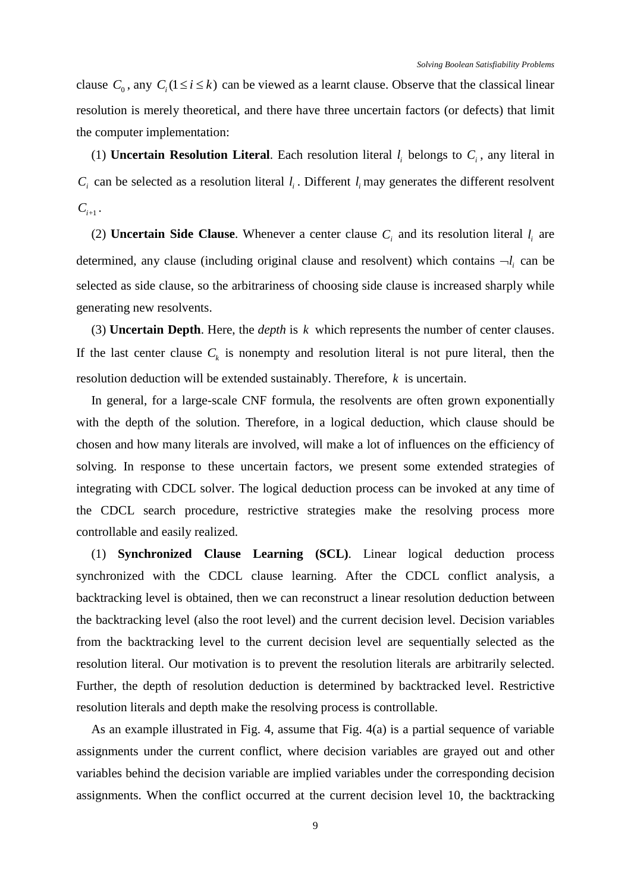clause  $C_0$ , any  $C_i$  ( $1 \le i \le k$ ) can be viewed as a learnt clause. Observe that the classical linear resolution is merely theoretical, and there have three uncertain factors (or defects) that limit the computer implementation:

(1) **Uncertain Resolution Literal**. Each resolution literal  $l_i$  belongs to  $C_i$ , any literal in  $C_i$  can be selected as a resolution literal  $l_i$ . Different  $l_i$  may generates the different resolvent  $C_{i+1}$ .

(2) **Uncertain Side Clause**. Whenever a center clause  $C_i$  and its resolution literal  $l_i$  are determined, any clause (including original clause and resolvent) which contains  $\neg l_i$  can be selected as side clause, so the arbitrariness of choosing side clause is increased sharply while generating new resolvents.

(3) **Uncertain Depth**. Here, the *depth* is *k* which represents the number of center clauses. If the last center clause  $C_k$  is nonempty and resolution literal is not pure literal, then the resolution deduction will be extended sustainably. Therefore, *k* is uncertain.

In general, for a large-scale CNF formula, the resolvents are often grown exponentially with the depth of the solution. Therefore, in a logical deduction, which clause should be chosen and how many literals are involved, will make a lot of influences on the efficiency of solving. In response to these uncertain factors, we present some extended strategies of integrating with CDCL solver. The logical deduction process can be invoked at any time of the CDCL search procedure, restrictive strategies make the resolving process more controllable and easily realized.

(1) **Synchronized Clause Learning (SCL)**. Linear logical deduction process synchronized with the CDCL clause learning. After the CDCL conflict analysis, a backtracking level is obtained, then we can reconstruct a linear resolution deduction between the backtracking level (also the root level) and the current decision level. Decision variables from the backtracking level to the current decision level are sequentially selected as the resolution literal. Our motivation is to prevent the resolution literals are arbitrarily selected. Further, the depth of resolution deduction is determined by backtracked level. Restrictive resolution literals and depth make the resolving process is controllable.

As an example illustrated in Fig. 4, assume that Fig. 4(a) is a partial sequence of variable assignments under the current conflict, where decision variables are grayed out and other variables behind the decision variable are implied variables under the corresponding decision assignments. When the conflict occurred at the current decision level 10, the backtracking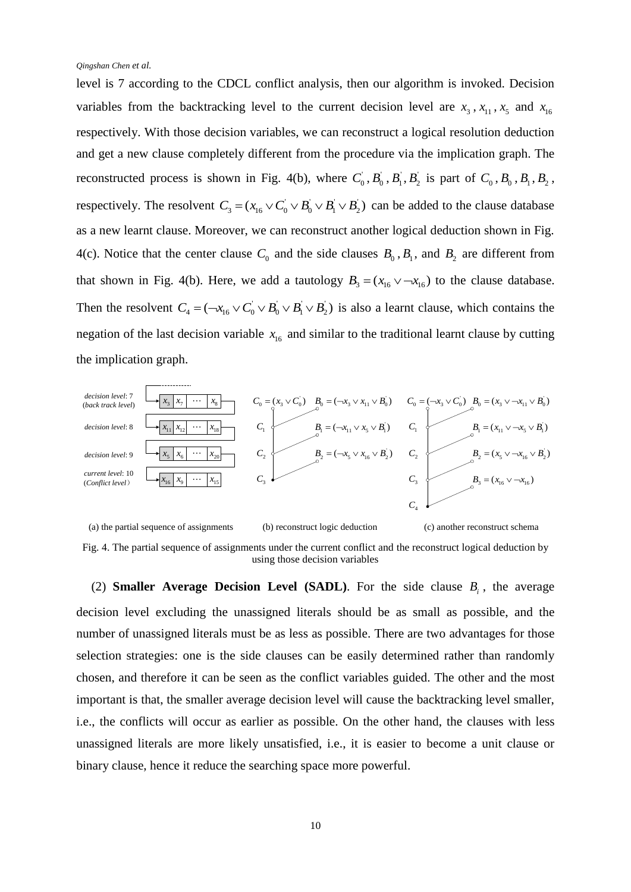level is 7 according to the CDCL conflict analysis, then our algorithm is invoked. Decision variables from the backtracking level to the current decision level are  $x_3$ ,  $x_{11}$ ,  $x_5$  and  $x_{16}$ respectively. With those decision variables, we can reconstruct a logical resolution deduction and get a new clause completely different from the procedure via the implication graph. The reconstructed process is shown in Fig. 4(b), where  $C_0$ ,  $B_0$ ,  $B_1$ ,  $B_2$  is part of  $C_0$ ,  $B_0$ ,  $B_1$ ,  $B_2$ , respectively. The resolvent  $C_3 = (x_{16} \vee C_0 \vee B_0 \vee B_1 \vee B_2)$  can be added to the clause database as a new learnt clause. Moreover, we can reconstruct another logical deduction shown in Fig. 4(c). Notice that the center clause  $C_0$  and the side clauses  $B_0$ ,  $B_1$ , and  $B_2$  are different from that shown in Fig. 4(b). Here, we add a tautology  $B_3 = (x_{16} \vee -x_{16})$  to the clause database. Then the resolvent  $C_4 = (-x_{16} \vee C_0 \vee B_0 \vee B_1 \vee B_2)$  is also a learnt clause, which contains the negation of the last decision variable  $x_{16}$  and similar to the traditional learnt clause by cutting the implication graph.



Fig. 4. The partial sequence of assignments under the current conflict and the reconstruct logical deduction by using those decision variables

(2) **Smaller Average Decision Level (SADL)**. For the side clause  $B_i$ , the average decision level excluding the unassigned literals should be as small as possible, and the number of unassigned literals must be as less as possible. There are two advantages for those selection strategies: one is the side clauses can be easily determined rather than randomly chosen, and therefore it can be seen as the conflict variables guided. The other and the most important is that, the smaller average decision level will cause the backtracking level smaller, i.e., the conflicts will occur as earlier as possible. On the other hand, the clauses with less unassigned literals are more likely unsatisfied, i.e., it is easier to become a unit clause or binary clause, hence it reduce the searching space more powerful.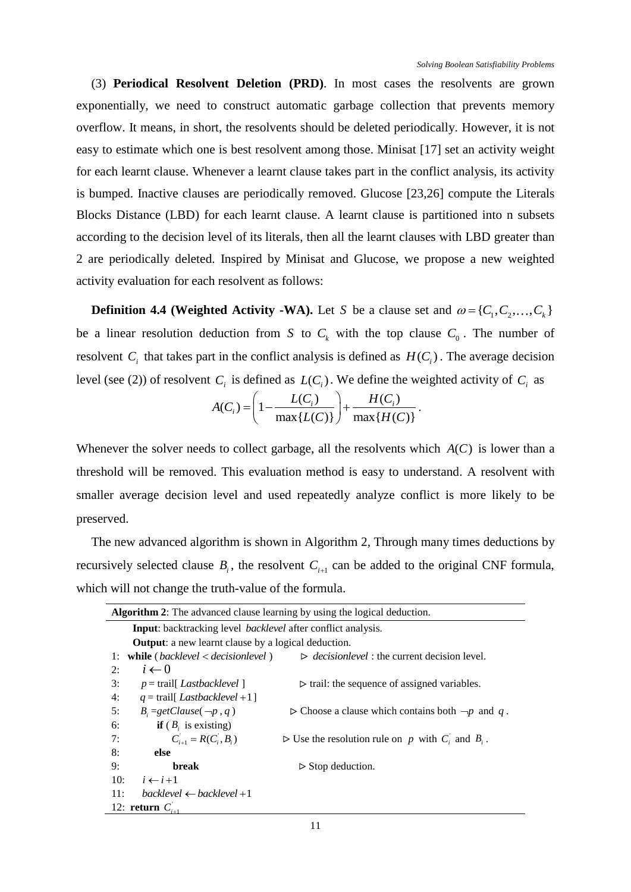(3) **Periodical Resolvent Deletion (PRD)**. In most cases the resolvents are grown exponentially, we need to construct automatic garbage collection that prevents memory overflow. It means, in short, the resolvents should be deleted periodically. However, it is not easy to estimate which one is best resolvent among those. Minisat [\[17\]](#page-16-8) set an activity weight for each learnt clause. Whenever a learnt clause takes part in the conflict analysis, its activity is bumped. Inactive clauses are periodically removed. Glucose [\[23](#page-16-4)[,26\]](#page-16-9) compute the Literals Blocks Distance (LBD) for each learnt clause. A learnt clause is partitioned into n subsets according to the decision level of its literals, then all the learnt clauses with LBD greater than 2 are periodically deleted. Inspired by Minisat and Glucose, we propose a new weighted activity evaluation for each resolvent as follows:

**Definition 4.4 (Weighted Activity -WA).** Let S be a clause set and  $\omega = \{C_1, C_2, \ldots, C_k\}$ be a linear resolution deduction from S to  $C_k$  with the top clause  $C_0$ . The number of resolvent  $C_i$  that takes part in the conflict analysis is defined as  $H(C_i)$ . The average decision

level (see (2)) of resolvent 
$$
C_i
$$
 is defined as  $L(C_i)$ . We define the weighted activity of  $C_i$  as\n
$$
A(C_i) = \left(1 - \frac{L(C_i)}{\max\{L(C)\}}\right) + \frac{H(C_i)}{\max\{H(C)\}}.
$$

Whenever the solver needs to collect garbage, all the resolvents which  $A(C)$  is lower than a threshold will be removed. This evaluation method is easy to understand. A resolvent with smaller average decision level and used repeatedly analyze conflict is more likely to be preserved.

The new advanced algorithm is shown in Algorithm 2, Through many times deductions by recursively selected clause  $B_i$ , the resolvent  $C_{i+1}$  can be added to the original CNF formula, which will not change the truth-value of the formula.

| <b>Algorithm 2:</b> The advanced clause learning by using the logical deduction. |                                                                      |  |  |  |  |  |
|----------------------------------------------------------------------------------|----------------------------------------------------------------------|--|--|--|--|--|
| <b>Input:</b> backtracking level <i>backlevel</i> after conflict analysis.       |                                                                      |  |  |  |  |  |
| <b>Output:</b> a new learnt clause by a logical deduction.                       |                                                                      |  |  |  |  |  |
| while $(\textit{backlevel} < \textit{decisionlevel})$<br>1:                      | $\triangleright$ <i>decisionlevel</i> : the current decision level.  |  |  |  |  |  |
| $i \leftarrow 0$<br>2:                                                           |                                                                      |  |  |  |  |  |
| $p = \text{trail}$ [ <i>Lastbacklevel</i> ]<br>3:                                | $\triangleright$ trail: the sequence of assigned variables.          |  |  |  |  |  |
| 4:<br>$q = \text{trail}$ [ Lastbacklevel +1]                                     |                                                                      |  |  |  |  |  |
| 5:<br>$B_i = getClause(\neg p, q)$                                               | $\triangleright$ Choose a clause which contains both $\neg p$ and q. |  |  |  |  |  |
| <b>if</b> $(B_i$ is existing)<br>6:                                              |                                                                      |  |  |  |  |  |
| $C_{i+1} = R(C_i, B_i)$<br>7:                                                    | $\triangleright$ Use the resolution rule on p with C and B.          |  |  |  |  |  |
| 8:<br>else                                                                       |                                                                      |  |  |  |  |  |
| 9:<br>break                                                                      | $\triangleright$ Stop deduction.                                     |  |  |  |  |  |
| 10:<br>$i \leftarrow i+1$                                                        |                                                                      |  |  |  |  |  |
| 11:<br>$backward \leftarrow \text{backlevel} + 1$                                |                                                                      |  |  |  |  |  |
| 12: <b>return</b> $C_{i+1}$                                                      |                                                                      |  |  |  |  |  |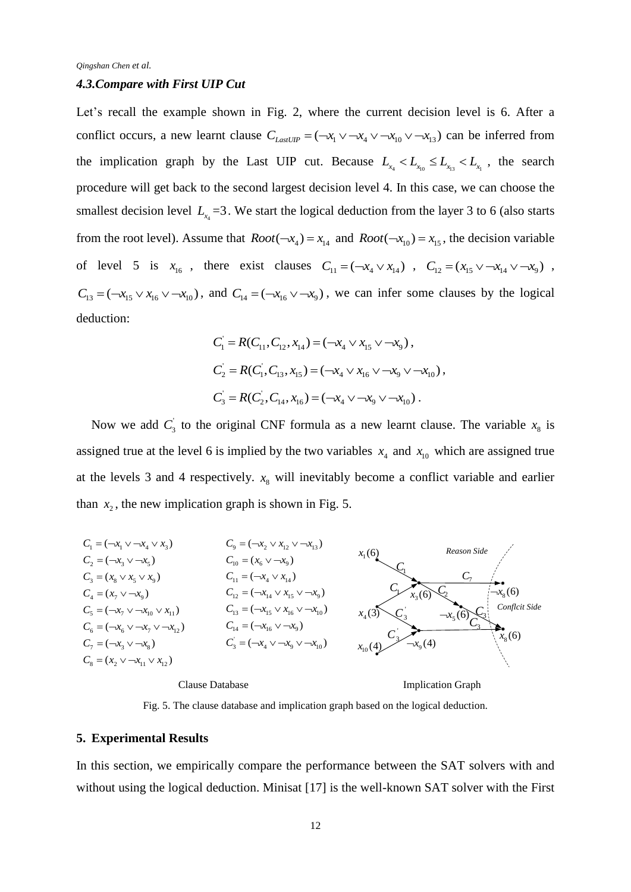#### *4.3.Compare with First UIP Cut*

Let's recall the example shown in Fig. 2, where the current decision level is 6. After a conflict occurs, a new learnt clause  $C_{LastUP} = (-x_1 \vee -x_4 \vee -x_{10} \vee -x_{13})$  can be inferred from the implication graph by the Last UIP cut. Because  $L_{x_4} < L_{x_{10}} \le L_{x_{13}} < L_{x_1}$ , the search procedure will get back to the second largest decision level 4. In this case, we can choose the smallest decision level  $L_{x_4} = 3$ . We start the logical deduction from the layer 3 to 6 (also starts from the root level). Assume that  $Root(-x_4) = x_{14}$  and  $Root(-x_{10}) = x_{15}$ , the decision variable of level 5 is  $x_{16}$ , there exist clauses  $C_{11} = (-x_4 \vee x_{14})$ ,  $C_{12} = (x_{15} \vee -x_{14} \vee -x_9)$ ,  $C_{13} = (-x_{15} \vee x_{16} \vee -x_{10})$ , and  $C_{14} = (-x_{16} \vee -x_{9})$ , we can infer some clauses by the logical deduction:

$$
C_1 = R(C_{11}, C_{12}, x_{14}) = (-x_4 \vee x_{15} \vee \neg x_9),
$$
  
\n
$$
C_2 = R(C_1, C_{13}, x_{15}) = (-x_4 \vee x_{16} \vee \neg x_9 \vee \neg x_{10}),
$$
  
\n
$$
C_3 = R(C_2, C_{14}, x_{16}) = (-x_4 \vee \neg x_9 \vee \neg x_{10}).
$$

Now we add  $C_3$  to the original CNF formula as a new learnt clause. The variable  $x_8$  is assigned true at the level 6 is implied by the two variables  $x_4$  and  $x_{10}$  which are assigned true at the levels 3 and 4 respectively.  $x<sub>8</sub>$  will inevitably become a conflict variable and earlier than  $x_2$ , the new implication graph is shown in Fig. 5.



Fig. 5. The clause database and implication graph based on the logical deduction.

#### **5. Experimental Results**

In this section, we empirically compare the performance between the SAT solvers with and without using the logical deduction. Minisat [\[17\]](#page-16-8) is the well-known SAT solver with the First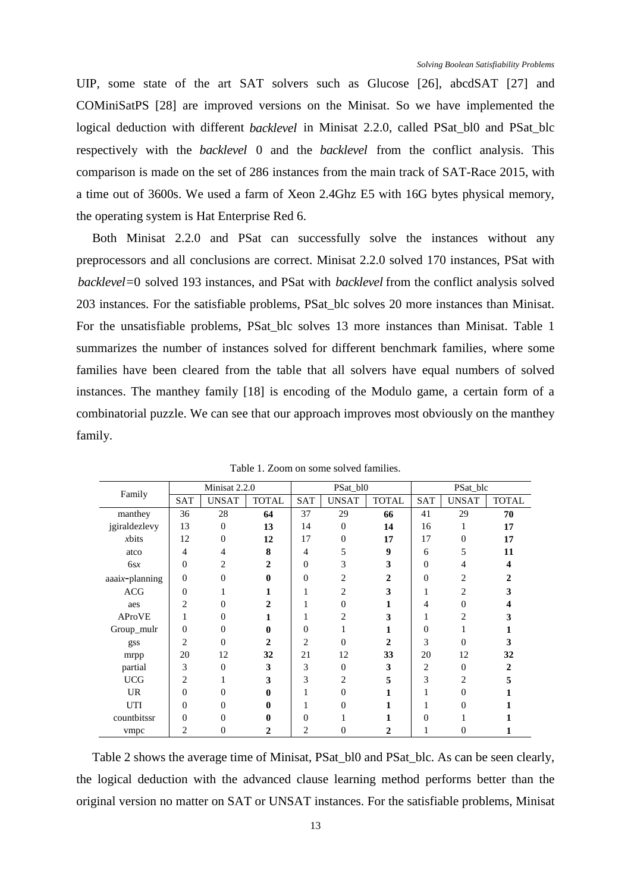UIP, some state of the art SAT solvers such as Glucose [\[26\]](#page-16-9), abcdSAT [\[27\]](#page-16-10) and COMiniSatPS [\[28\]](#page-16-11) are improved versions on the Minisat. So we have implemented the logical deduction with different *backlevel* in Minisat 2.2.0, called PSat\_bl0 and PSat\_blc respectively with the *backlevel* 0 and the *backlevel* from the conflict analysis. This comparison is made on the set of 286 instances from the main track of SAT-Race 2015, with a time out of 3600s. We used a farm of Xeon 2.4Ghz E5 with 16G bytes physical memory, the operating system is Hat Enterprise Red 6.

Both Minisat 2.2.0 and PSat can successfully solve the instances without any preprocessors and all conclusions are correct. Minisat 2.2.0 solved 170 instances, PSat with *backlevel*=0 solved 193 instances, and PSat with *backlevel* from the conflict analysis solved 203 instances. For the satisfiable problems, PSat\_blc solves 20 more instances than Minisat. For the unsatisfiable problems, PSat\_blc solves 13 more instances than Minisat. Table 1 summarizes the number of instances solved for different benchmark families, where some families have been cleared from the table that all solvers have equal numbers of solved instances. The manthey family [\[18\]](#page-16-12) is encoding of the Modulo game, a certain form of a combinatorial puzzle. We can see that our approach improves most obviously on the manthey family.

| Family                | Minisat 2.2.0  |                |              |                | PSat_bl0       |                | PSat_blc       |              |              |
|-----------------------|----------------|----------------|--------------|----------------|----------------|----------------|----------------|--------------|--------------|
|                       | <b>SAT</b>     | <b>UNSAT</b>   | <b>TOTAL</b> | <b>SAT</b>     | <b>UNSAT</b>   | <b>TOTAL</b>   | <b>SAT</b>     | <b>UNSAT</b> | <b>TOTAL</b> |
| manthey               | 36             | 28             | 64           | 37             | 29             | 66             | 41             | 29           | 70           |
| jgiraldezlevy         | 13             | $\Omega$       | 13           | 14             | $\overline{0}$ | 14             | 16             | 1            | 17           |
| xbits                 | 12             | $\Omega$       | 12           | 17             | $\theta$       | 17             | 17             | $\Omega$     | 17           |
| atco                  | 4              | 4              | 8            | 4              | 5              | 9              | 6              | 5            | 11           |
| 6sx                   | $\theta$       | 2              | 2            | $\Omega$       | 3              | 3              | $\overline{0}$ | 4            | 4            |
| $a a a i x$ -planning | $\theta$       | $\Omega$       | 0            | $\Omega$       | $\overline{2}$ | $\overline{2}$ | $\overline{0}$ | 2            |              |
| <b>ACG</b>            | $\theta$       |                |              |                | $\overline{c}$ | 3              |                | 2            | 3            |
| aes                   | $\overline{2}$ | $\Omega$       | 2            |                | $\overline{0}$ | 1              | 4              | $\Omega$     |              |
| <b>AProVE</b>         | 1              | $\Omega$       | 1            |                | 2              | 3              | 1              | 2            |              |
| Group_mulr            | $\mathbf{0}$   | $\Omega$       | 0            | $\theta$       | 1              | 1              | $\overline{0}$ |              |              |
| gss                   | $\overline{2}$ | $\Omega$       | $\mathbf{2}$ | $\overline{c}$ | $\theta$       | $\overline{c}$ | 3              | $\Omega$     | 3            |
| mrpp                  | 20             | 12             | 32           | 21             | 12             | 33             | 20             | 12           | 32           |
| partial               | 3              | $\Omega$       | 3            | 3              | $\mathbf{0}$   | 3              | 2              | $\Omega$     | 2            |
| <b>UCG</b>            | $\overline{2}$ |                | 3            | 3              | $\overline{c}$ | 5              | 3              | 2            | 5            |
| <b>UR</b>             | $\theta$       | $\Omega$       | 0            |                | $\overline{0}$ | 1              |                | $\Omega$     |              |
| UTI                   | $\Omega$       | $\Omega$       | 0            |                | 0              | 1              |                | 0            |              |
| countbitssr           | $\overline{0}$ | $\theta$       |              | $\Omega$       |                | 1              | $\overline{0}$ |              |              |
| vmpc                  | 2              | $\overline{0}$ | 2            | 2              | 0              | 2              |                | 0            |              |

Table 1. Zoom on some solved families.

Table 2 shows the average time of Minisat, PSat\_bl0 and PSat\_blc. As can be seen clearly, the logical deduction with the advanced clause learning method performs better than the original version no matter on SAT or UNSAT instances. For the satisfiable problems, Minisat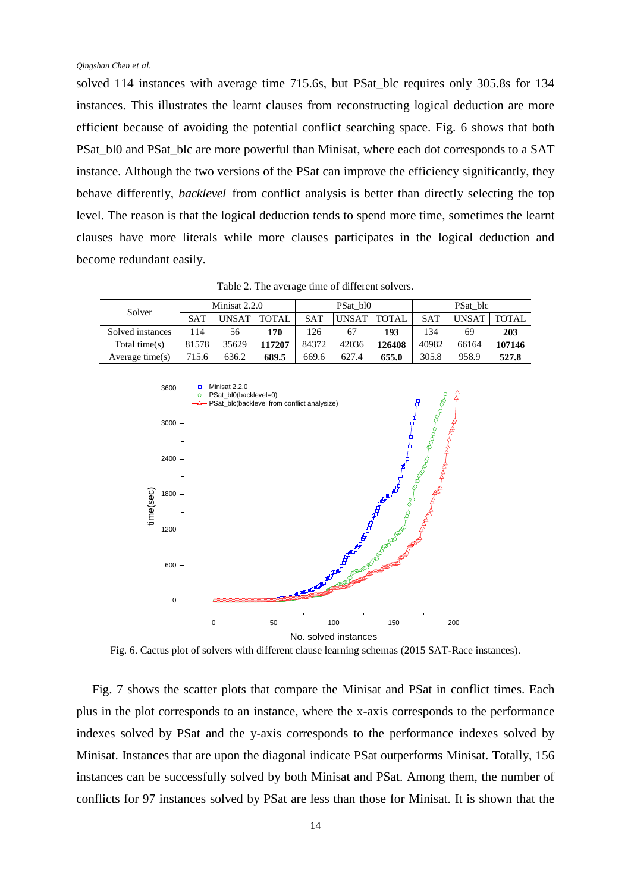solved 114 instances with average time 715.6s, but PSat\_blc requires only 305.8s for 134 instances. This illustrates the learnt clauses from reconstructing logical deduction are more efficient because of avoiding the potential conflict searching space. Fig. 6 shows that both PSat\_bl0 and PSat\_blc are more powerful than Minisat, where each dot corresponds to a SAT instance. Although the two versions of the PSat can improve the efficiency significantly, they behave differently, *backlevel* from conflict analysis is better than directly selecting the top level. The reason is that the logical deduction tends to spend more time, sometimes the learnt clauses have more literals while more clauses participates in the logical deduction and become redundant easily.

| Solver             | Minisat 2.2.0 |       |              | PSat bl0   |              |              | PSat blc   |       |        |
|--------------------|---------------|-------|--------------|------------|--------------|--------------|------------|-------|--------|
|                    | <b>SAT</b>    | UNSAT | <b>TOTAL</b> | <b>SAT</b> | <b>UNSAT</b> | <b>TOTAL</b> | <b>SAT</b> | UNSAT | TOTAL  |
| Solved instances   | 114           | 56    | 170          | l 26       | 67           | 193          | 134        | 69    | 203    |
| Total time $(s)$   | 81578         | 35629 | 117207       | 84372      | 42036        | 126408       | 40982      | 66164 | 107146 |
| Average time $(s)$ | 715.6         | 636.2 | 689.5        | 669.6      | 627.4        | 655.0        | 305.8      | 958.9 | 527.8  |



Fig. 6. Cactus plot of solvers with different clause learning schemas (2015 SAT-Race instances).

Fig. 7 shows the scatter plots that compare the Minisat and PSat in conflict times. Each plus in the plot corresponds to an instance, where the x-axis corresponds to the performance indexes solved by PSat and the y-axis corresponds to the performance indexes solved by Minisat. Instances that are upon the diagonal indicate PSat outperforms Minisat. Totally, 156 instances can be successfully solved by both Minisat and PSat. Among them, the number of conflicts for 97 instances solved by PSat are less than those for Minisat. It is shown that the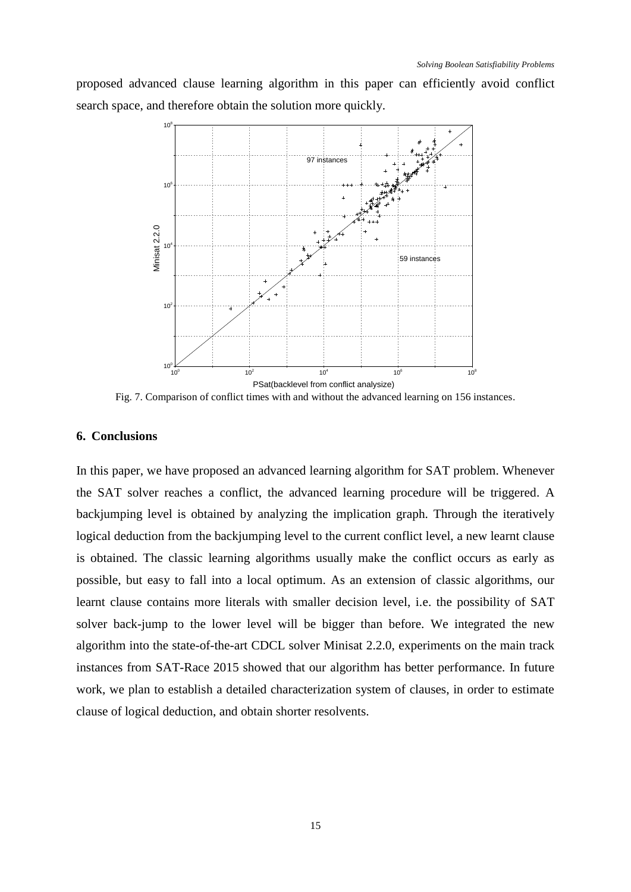proposed advanced clause learning algorithm in this paper can efficiently avoid conflict search space, and therefore obtain the solution more quickly.



Fig. 7. Comparison of conflict times with and without the advanced learning on 156 instances.

# **6. Conclusions**

In this paper, we have proposed an advanced learning algorithm for SAT problem. Whenever the SAT solver reaches a conflict, the advanced learning procedure will be triggered. A backjumping level is obtained by analyzing the implication graph. Through the iteratively logical deduction from the backjumping level to the current conflict level, a new learnt clause is obtained. The classic learning algorithms usually make the conflict occurs as early as possible, but easy to fall into a local optimum. As an extension of classic algorithms, our learnt clause contains more literals with smaller decision level, i.e. the possibility of SAT solver back-jump to the lower level will be bigger than before. We integrated the new algorithm into the state-of-the-art CDCL solver Minisat 2.2.0, experiments on the main track instances from SAT-Race 2015 showed that our algorithm has better performance. In future work, we plan to establish a detailed characterization system of clauses, in order to estimate clause of logical deduction, and obtain shorter resolvents.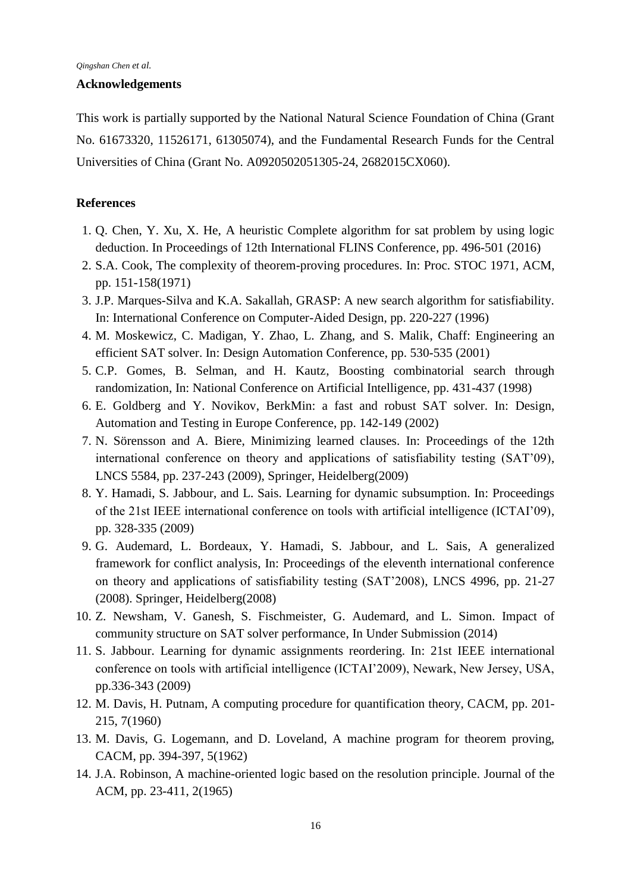#### **Acknowledgements**

This work is partially supported by the National Natural Science Foundation of China (Grant No. 61673320, 11526171, 61305074), and the Fundamental Research Funds for the Central Universities of China (Grant No. A0920502051305-24, 2682015CX060).

# **References**

- <span id="page-15-13"></span>1. Q. Chen, Y. Xu, X. He, A heuristic Complete algorithm for sat problem by using logic deduction. In Proceedings of 12th International FLINS Conference, pp. 496-501 (2016)
- <span id="page-15-0"></span>2. S.A. Cook, The complexity of theorem-proving procedures. In: Proc. STOC 1971, ACM, pp. 151-158(1971)
- <span id="page-15-1"></span>3. J.P. Marques-Silva and K.A. Sakallah, GRASP: A new search algorithm for satisfiability. In: International Conference on Computer-Aided Design, pp. 220-227 (1996)
- <span id="page-15-2"></span>4. M. Moskewicz, C. Madigan, Y. Zhao, L. Zhang, and S. Malik, Chaff: Engineering an efficient SAT solver. In: Design Automation Conference, pp. 530-535 (2001)
- <span id="page-15-4"></span>5. C.P. Gomes, B. Selman, and H. Kautz, Boosting combinatorial search through randomization, In: National Conference on Artificial Intelligence, pp. 431-437 (1998)
- <span id="page-15-3"></span>6. E. Goldberg and Y. Novikov, BerkMin: a fast and robust SAT solver. In: Design, Automation and Testing in Europe Conference, pp. 142-149 (2002)
- <span id="page-15-5"></span>7. N. Sörensson and A. Biere, Minimizing learned clauses. In: Proceedings of the 12th international conference on theory and applications of satisfiability testing (SAT'09), LNCS 5584, pp. 237-243 (2009), Springer, Heidelberg(2009)
- <span id="page-15-6"></span>8. Y. Hamadi, S. Jabbour, and L. Sais. Learning for dynamic subsumption. In: Proceedings of the 21st IEEE international conference on tools with artificial intelligence (ICTAI'09), pp. 328-335 (2009)
- <span id="page-15-8"></span>9. G. Audemard, L. Bordeaux, Y. Hamadi, S. Jabbour, and L. Sais, A generalized framework for conflict analysis, In: Proceedings of the eleventh international conference on theory and applications of satisfiability testing (SAT'2008), LNCS 4996, pp. 21-27 (2008). Springer, Heidelberg(2008)
- <span id="page-15-7"></span>10. Z. Newsham, V. Ganesh, S. Fischmeister, G. Audemard, and L. Simon. Impact of community structure on SAT solver performance, In Under Submission (2014)
- <span id="page-15-9"></span>11. S. Jabbour. Learning for dynamic assignments reordering. In: 21st IEEE international conference on tools with artificial intelligence (ICTAI'2009), Newark, New Jersey, USA, pp.336-343 (2009)
- <span id="page-15-10"></span>12. M. Davis, H. Putnam, A computing procedure for quantification theory, CACM, pp. 201- 215, 7(1960)
- <span id="page-15-11"></span>13. M. Davis, G. Logemann, and D. Loveland, A machine program for theorem proving, CACM, pp. 394-397, 5(1962)
- <span id="page-15-12"></span>14. J.A. Robinson, A machine-oriented logic based on the resolution principle. Journal of the ACM, pp. 23-411, 2(1965)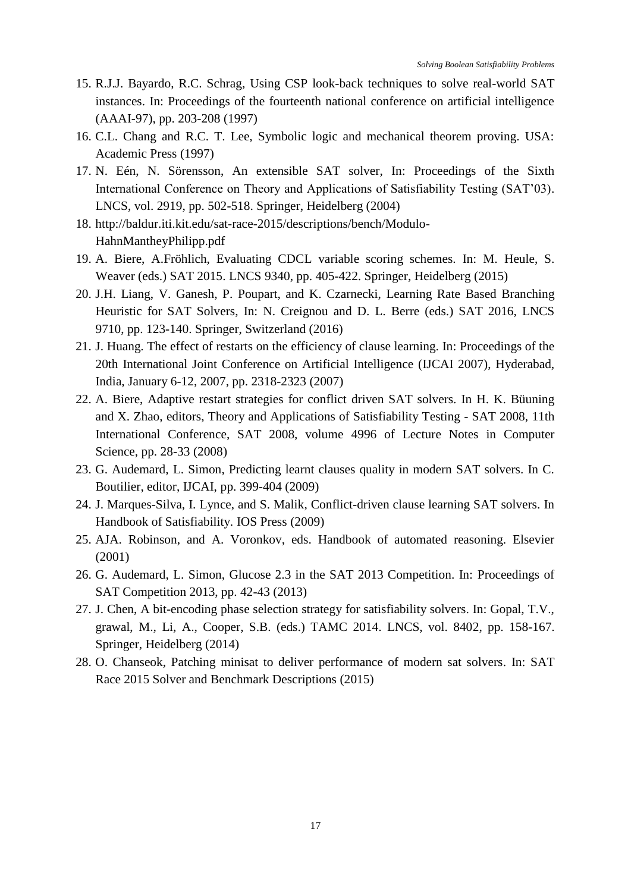- <span id="page-16-0"></span>15. R.J.J. Bayardo, R.C. Schrag, Using CSP look-back techniques to solve real-world SAT instances. In: Proceedings of the fourteenth national conference on artificial intelligence (AAAI-97), pp. 203-208 (1997)
- <span id="page-16-6"></span>16. C.L. Chang and R.C. T. Lee, Symbolic logic and mechanical theorem proving. USA: Academic Press (1997)
- <span id="page-16-8"></span>17. N. Eén, N. Sörensson, An extensible SAT solver, In: Proceedings of the Sixth International Conference on Theory and Applications of Satisfiability Testing (SAT'03). LNCS, vol. 2919, pp. 502-518. Springer, Heidelberg (2004)
- <span id="page-16-12"></span>18. http://baldur.iti.kit.edu/sat-race-2015/descriptions/bench/Modulo-HahnMantheyPhilipp.pdf
- <span id="page-16-1"></span>19. A. Biere, A.Fröhlich, Evaluating CDCL variable scoring schemes. In: M. Heule, S. Weaver (eds.) SAT 2015. LNCS 9340, pp. 405-422. Springer, Heidelberg (2015)
- <span id="page-16-2"></span>20. J.H. Liang, V. Ganesh, P. Poupart, and K. Czarnecki, Learning Rate Based Branching Heuristic for SAT Solvers, In: N. Creignou and D. L. Berre (eds.) SAT 2016, LNCS 9710, pp. 123-140. Springer, Switzerland (2016)
- <span id="page-16-3"></span>21. J. Huang. The effect of restarts on the efficiency of clause learning. In: Proceedings of the 20th International Joint Conference on Artificial Intelligence (IJCAI 2007), Hyderabad, India, January 6-12, 2007, pp. 2318-2323 (2007)
- 22. A. Biere, Adaptive restart strategies for conflict driven SAT solvers. In H. K. Büuning and X. Zhao, editors, Theory and Applications of Satisfiability Testing - SAT 2008, 11th International Conference, SAT 2008, volume 4996 of Lecture Notes in Computer Science, pp. 28-33 (2008)
- <span id="page-16-4"></span>23. G. Audemard, L. Simon, Predicting learnt clauses quality in modern SAT solvers. In C. Boutilier, editor, IJCAI, pp. 399-404 (2009)
- <span id="page-16-5"></span>24. J. Marques-Silva, I. Lynce, and S. Malik, Conflict-driven clause learning SAT solvers. In Handbook of Satisfiability. IOS Press (2009)
- <span id="page-16-7"></span>25. AJA. Robinson, and A. Voronkov, eds. Handbook of automated reasoning. Elsevier (2001)
- <span id="page-16-9"></span>26. G. Audemard, L. Simon, Glucose 2.3 in the SAT 2013 Competition. In: Proceedings of SAT Competition 2013, pp. 42-43 (2013)
- <span id="page-16-10"></span>27. J. Chen, A bit-encoding phase selection strategy for satisfiability solvers. In: Gopal, T.V., grawal, M., Li, A., Cooper, S.B. (eds.) TAMC 2014. LNCS, vol. 8402, pp. 158-167. Springer, Heidelberg (2014)
- <span id="page-16-11"></span>28. O. Chanseok, Patching minisat to deliver performance of modern sat solvers. In: SAT Race 2015 Solver and Benchmark Descriptions (2015)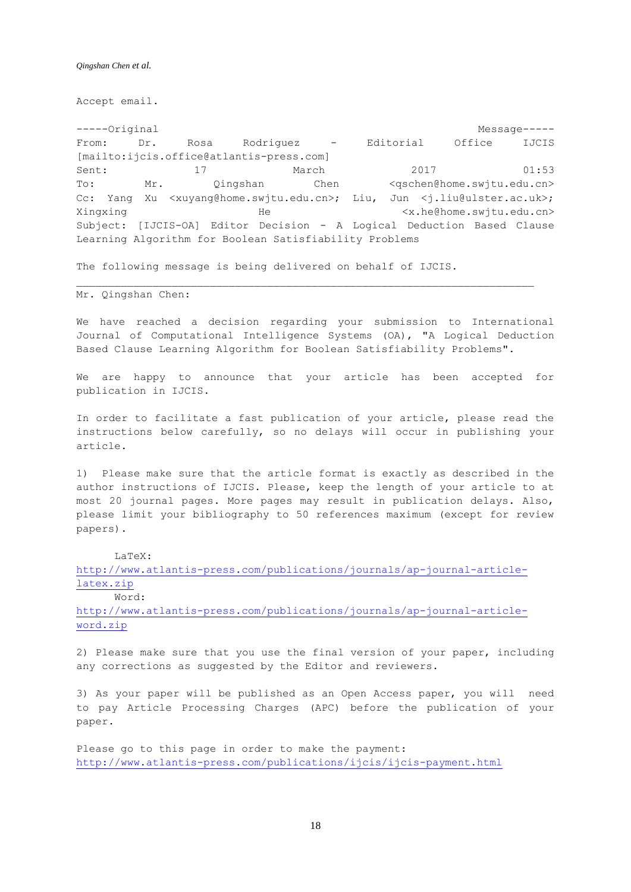Accept email.

-----Original Message----- From: Dr. Rosa Rodriguez - Editorial Office IJCIS [mailto:ijcis.office@atlantis-press.com] Sent: 17 March 2017 01:53 To: Mr. Qingshan Chen <qschen@home.swjtu.edu.cn> Cc: Yang Xu <xuyang@home.swjtu.edu.cn>; Liu, Jun <j.liu@ulster.ac.uk>; Xingxing He He  $\langle x. h \in \emptyset$ home.swjtu.edu.cn> Subject: [IJCIS-OA] Editor Decision - A Logical Deduction Based Clause Learning Algorithm for Boolean Satisfiability Problems

The following message is being delivered on behalf of IJCIS.

Mr. Qingshan Chen:

We have reached a decision regarding your submission to International Journal of Computational Intelligence Systems (OA), "A Logical Deduction Based Clause Learning Algorithm for Boolean Satisfiability Problems".

We are happy to announce that your article has been accepted for publication in IJCIS.

In order to facilitate a fast publication of your article, please read the instructions below carefully, so no delays will occur in publishing your article.

1) Please make sure that the article format is exactly as described in the author instructions of IJCIS. Please, keep the length of your article to at most 20 journal pages. More pages may result in publication delays. Also, please limit your bibliography to 50 references maximum (except for review papers).

LaTeX:

[http://www.atlantis-press.com/publications/journals/ap-journal-article](http://www.atlantis-press.com/publications/journals/ap-journal-article-latex.zip)[latex.zip](http://www.atlantis-press.com/publications/journals/ap-journal-article-latex.zip)

Word:

[http://www.atlantis-press.com/publications/journals/ap-journal-article](http://www.atlantis-press.com/publications/journals/ap-journal-article-word.zip)[word.zip](http://www.atlantis-press.com/publications/journals/ap-journal-article-word.zip)

2) Please make sure that you use the final version of your paper, including any corrections as suggested by the Editor and reviewers.

3) As your paper will be published as an Open Access paper, you will need to pay Article Processing Charges (APC) before the publication of your paper.

Please go to this page in order to make the payment: <http://www.atlantis-press.com/publications/ijcis/ijcis-payment.html>